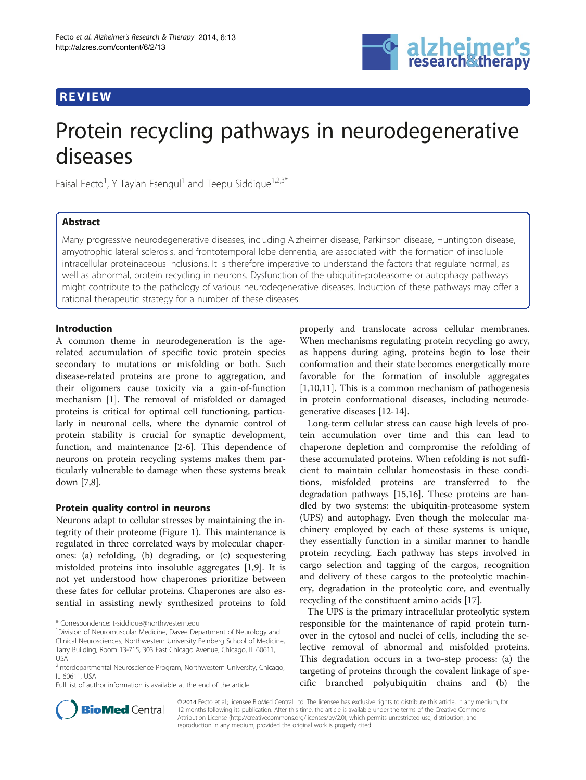## REVIEW



# Protein recycling pathways in neurodegenerative diseases

Faisal Fecto<sup>1</sup>, Y Taylan Esengul<sup>1</sup> and Teepu Siddique<sup>1,2,3\*</sup>

## Abstract

Many progressive neurodegenerative diseases, including Alzheimer disease, Parkinson disease, Huntington disease, amyotrophic lateral sclerosis, and frontotemporal lobe dementia, are associated with the formation of insoluble intracellular proteinaceous inclusions. It is therefore imperative to understand the factors that regulate normal, as well as abnormal, protein recycling in neurons. Dysfunction of the ubiquitin-proteasome or autophagy pathways might contribute to the pathology of various neurodegenerative diseases. Induction of these pathways may offer a rational therapeutic strategy for a number of these diseases.

## Introduction

A common theme in neurodegeneration is the agerelated accumulation of specific toxic protein species secondary to mutations or misfolding or both. Such disease-related proteins are prone to aggregation, and their oligomers cause toxicity via a gain-of-function mechanism [\[1](#page-5-0)]. The removal of misfolded or damaged proteins is critical for optimal cell functioning, particularly in neuronal cells, where the dynamic control of protein stability is crucial for synaptic development, function, and maintenance [\[2](#page-5-0)-[6\]](#page-5-0). This dependence of neurons on protein recycling systems makes them particularly vulnerable to damage when these systems break down [\[7,8](#page-5-0)].

## Protein quality control in neurons

Neurons adapt to cellular stresses by maintaining the integrity of their proteome (Figure [1](#page-1-0)). This maintenance is regulated in three correlated ways by molecular chaperones: (a) refolding, (b) degrading, or (c) sequestering misfolded proteins into insoluble aggregates [\[1,9](#page-5-0)]. It is not yet understood how chaperones prioritize between these fates for cellular proteins. Chaperones are also essential in assisting newly synthesized proteins to fold

Full list of author information is available at the end of the article

properly and translocate across cellular membranes. When mechanisms regulating protein recycling go awry, as happens during aging, proteins begin to lose their conformation and their state becomes energetically more favorable for the formation of insoluble aggregates [[1,10,11\]](#page-5-0). This is a common mechanism of pathogenesis in protein conformational diseases, including neurodegenerative diseases [[12-14](#page-5-0)].

Long-term cellular stress can cause high levels of protein accumulation over time and this can lead to chaperone depletion and compromise the refolding of these accumulated proteins. When refolding is not sufficient to maintain cellular homeostasis in these conditions, misfolded proteins are transferred to the degradation pathways [\[15,16](#page-5-0)]. These proteins are handled by two systems: the ubiquitin-proteasome system (UPS) and autophagy. Even though the molecular machinery employed by each of these systems is unique, they essentially function in a similar manner to handle protein recycling. Each pathway has steps involved in cargo selection and tagging of the cargos, recognition and delivery of these cargos to the proteolytic machinery, degradation in the proteolytic core, and eventually recycling of the constituent amino acids [\[17\]](#page-5-0).

The UPS is the primary intracellular proteolytic system responsible for the maintenance of rapid protein turnover in the cytosol and nuclei of cells, including the selective removal of abnormal and misfolded proteins. This degradation occurs in a two-step process: (a) the targeting of proteins through the covalent linkage of specific branched polyubiquitin chains and (b) the



© 2014 Fecto et al.; licensee BioMed Central Ltd. The licensee has exclusive rights to distribute this article, in any medium, for 12 months following its publication. After this time, the article is available under the terms of the Creative Commons Attribution License (<http://creativecommons.org/licenses/by/2.0>), which permits unrestricted use, distribution, and reproduction in any medium, provided the original work is properly cited.

<sup>\*</sup> Correspondence: [t-siddique@northwestern.edu](mailto:t-siddique@northwestern.edu) <sup>1</sup>

<sup>&</sup>lt;sup>1</sup> Division of Neuromuscular Medicine, Davee Department of Neurology and Clinical Neurosciences, Northwestern University Feinberg School of Medicine, Tarry Building, Room 13-715, 303 East Chicago Avenue, Chicago, IL 60611, USA

<sup>&</sup>lt;sup>2</sup>Interdepartmental Neuroscience Program, Northwestern University, Chicago, IL 60611, USA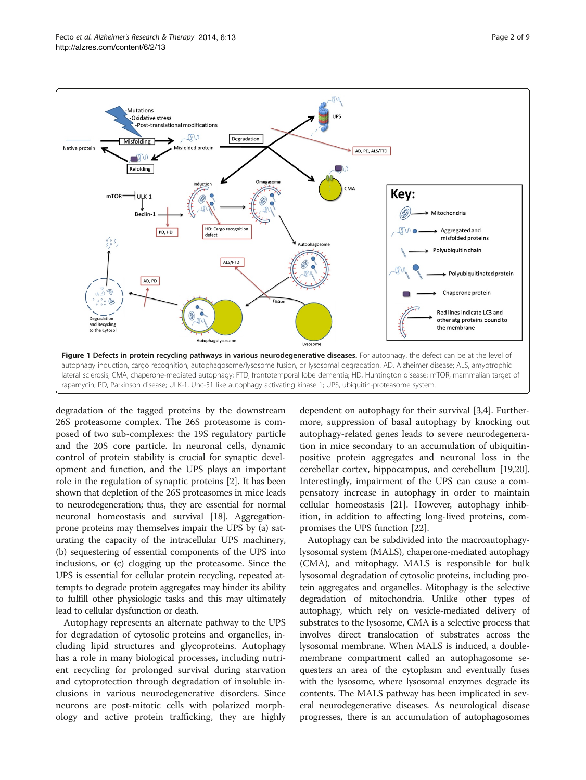<span id="page-1-0"></span>

degradation of the tagged proteins by the downstream 26S proteasome complex. The 26S proteasome is composed of two sub-complexes: the 19S regulatory particle and the 20S core particle. In neuronal cells, dynamic control of protein stability is crucial for synaptic development and function, and the UPS plays an important role in the regulation of synaptic proteins [\[2](#page-5-0)]. It has been shown that depletion of the 26S proteasomes in mice leads to neurodegeneration; thus, they are essential for normal neuronal homeostasis and survival [[18](#page-5-0)]. Aggregationprone proteins may themselves impair the UPS by (a) saturating the capacity of the intracellular UPS machinery, (b) sequestering of essential components of the UPS into inclusions, or (c) clogging up the proteasome. Since the UPS is essential for cellular protein recycling, repeated attempts to degrade protein aggregates may hinder its ability to fulfill other physiologic tasks and this may ultimately lead to cellular dysfunction or death.

Autophagy represents an alternate pathway to the UPS for degradation of cytosolic proteins and organelles, including lipid structures and glycoproteins. Autophagy has a role in many biological processes, including nutrient recycling for prolonged survival during starvation and cytoprotection through degradation of insoluble inclusions in various neurodegenerative disorders. Since neurons are post-mitotic cells with polarized morphology and active protein trafficking, they are highly dependent on autophagy for their survival [\[3,4](#page-5-0)]. Furthermore, suppression of basal autophagy by knocking out autophagy-related genes leads to severe neurodegeneration in mice secondary to an accumulation of ubiquitinpositive protein aggregates and neuronal loss in the cerebellar cortex, hippocampus, and cerebellum [\[19](#page-5-0)[,20](#page-6-0)]. Interestingly, impairment of the UPS can cause a compensatory increase in autophagy in order to maintain cellular homeostasis [\[21\]](#page-6-0). However, autophagy inhibition, in addition to affecting long-lived proteins, compromises the UPS function [\[22](#page-6-0)].

Autophagy can be subdivided into the macroautophagylysosomal system (MALS), chaperone-mediated autophagy (CMA), and mitophagy. MALS is responsible for bulk lysosomal degradation of cytosolic proteins, including protein aggregates and organelles. Mitophagy is the selective degradation of mitochondria. Unlike other types of autophagy, which rely on vesicle-mediated delivery of substrates to the lysosome, CMA is a selective process that involves direct translocation of substrates across the lysosomal membrane. When MALS is induced, a doublemembrane compartment called an autophagosome sequesters an area of the cytoplasm and eventually fuses with the lysosome, where lysosomal enzymes degrade its contents. The MALS pathway has been implicated in several neurodegenerative diseases. As neurological disease progresses, there is an accumulation of autophagosomes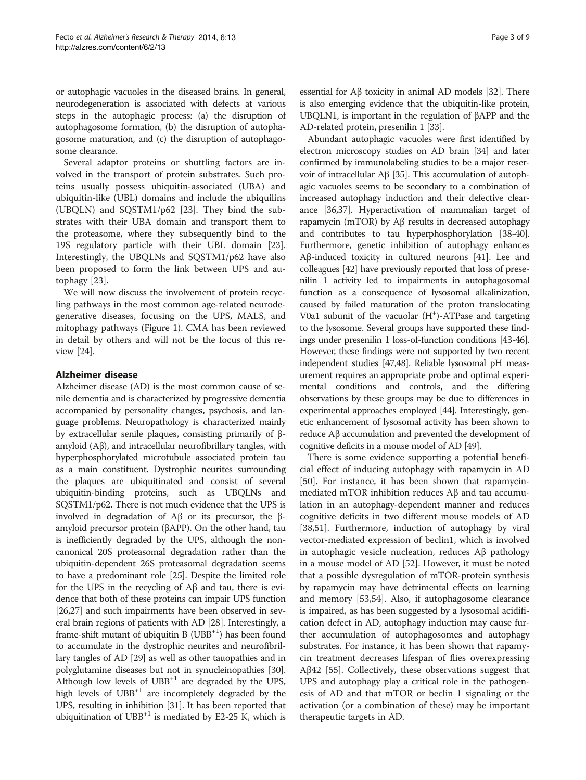or autophagic vacuoles in the diseased brains. In general, neurodegeneration is associated with defects at various steps in the autophagic process: (a) the disruption of autophagosome formation, (b) the disruption of autophagosome maturation, and (c) the disruption of autophagosome clearance.

Several adaptor proteins or shuttling factors are involved in the transport of protein substrates. Such proteins usually possess ubiquitin-associated (UBA) and ubiquitin-like (UBL) domains and include the ubiquilins (UBQLN) and SQSTM1/p62 [\[23](#page-6-0)]. They bind the substrates with their UBA domain and transport them to the proteasome, where they subsequently bind to the 19S regulatory particle with their UBL domain [\[23](#page-6-0)]. Interestingly, the UBQLNs and SQSTM1/p62 have also been proposed to form the link between UPS and autophagy [\[23\]](#page-6-0).

We will now discuss the involvement of protein recycling pathways in the most common age-related neurodegenerative diseases, focusing on the UPS, MALS, and mitophagy pathways (Figure [1\)](#page-1-0). CMA has been reviewed in detail by others and will not be the focus of this review [\[24\]](#page-6-0).

## Alzheimer disease

Alzheimer disease (AD) is the most common cause of senile dementia and is characterized by progressive dementia accompanied by personality changes, psychosis, and language problems. Neuropathology is characterized mainly by extracellular senile plaques, consisting primarily of βamyloid (Aβ), and intracellular neurofibrillary tangles, with hyperphosphorylated microtubule associated protein tau as a main constituent. Dystrophic neurites surrounding the plaques are ubiquitinated and consist of several ubiquitin-binding proteins, such as UBQLNs and SQSTM1/p62. There is not much evidence that the UPS is involved in degradation of Aβ or its precursor, the βamyloid precursor protein (βAPP). On the other hand, tau is inefficiently degraded by the UPS, although the noncanonical 20S proteasomal degradation rather than the ubiquitin-dependent 26S proteasomal degradation seems to have a predominant role [\[25\]](#page-6-0). Despite the limited role for the UPS in the recycling of Aβ and tau, there is evidence that both of these proteins can impair UPS function [[26,27\]](#page-6-0) and such impairments have been observed in several brain regions of patients with AD [\[28\]](#page-6-0). Interestingly, a frame-shift mutant of ubiquitin B  $(UBB<sup>+1</sup>)$  has been found to accumulate in the dystrophic neurites and neurofibrillary tangles of AD [[29](#page-6-0)] as well as other tauopathies and in polyglutamine diseases but not in synucleinopathies [[30](#page-6-0)]. Although low levels of  $UBB<sup>+1</sup>$  are degraded by the UPS, high levels of  $UBB<sup>+1</sup>$  are incompletely degraded by the UPS, resulting in inhibition [\[31](#page-6-0)]. It has been reported that ubiquitination of  $UBB<sup>+1</sup>$  is mediated by E2-25 K, which is essential for Aβ toxicity in animal AD models [[32](#page-6-0)]. There is also emerging evidence that the ubiquitin-like protein, UBQLN1, is important in the regulation of βAPP and the AD-related protein, presenilin 1 [\[33\]](#page-6-0).

Abundant autophagic vacuoles were first identified by electron microscopy studies on AD brain [[34](#page-6-0)] and later confirmed by immunolabeling studies to be a major reservoir of intracellular Aβ [[35](#page-6-0)]. This accumulation of autophagic vacuoles seems to be secondary to a combination of increased autophagy induction and their defective clearance [\[36,37](#page-6-0)]. Hyperactivation of mammalian target of rapamycin (mTOR) by Aβ results in decreased autophagy and contributes to tau hyperphosphorylation [[38](#page-6-0)-[40](#page-6-0)]. Furthermore, genetic inhibition of autophagy enhances Aβ-induced toxicity in cultured neurons [\[41\]](#page-6-0). Lee and colleagues [\[42\]](#page-6-0) have previously reported that loss of presenilin 1 activity led to impairments in autophagosomal function as a consequence of lysosomal alkalinization, caused by failed maturation of the proton translocating V0a1 subunit of the vacuolar (H<sup>+</sup>)-ATPase and targeting to the lysosome. Several groups have supported these findings under presenilin 1 loss-of-function conditions [\[43-46](#page-6-0)]. However, these findings were not supported by two recent independent studies [[47,48](#page-6-0)]. Reliable lysosomal pH measurement requires an appropriate probe and optimal experimental conditions and controls, and the differing observations by these groups may be due to differences in experimental approaches employed [\[44](#page-6-0)]. Interestingly, genetic enhancement of lysosomal activity has been shown to reduce Aβ accumulation and prevented the development of cognitive deficits in a mouse model of AD [\[49](#page-6-0)].

There is some evidence supporting a potential beneficial effect of inducing autophagy with rapamycin in AD [[50\]](#page-6-0). For instance, it has been shown that rapamycinmediated mTOR inhibition reduces Aβ and tau accumulation in an autophagy-dependent manner and reduces cognitive deficits in two different mouse models of AD [[38,51\]](#page-6-0). Furthermore, induction of autophagy by viral vector-mediated expression of beclin1, which is involved in autophagic vesicle nucleation, reduces Aβ pathology in a mouse model of AD [\[52\]](#page-6-0). However, it must be noted that a possible dysregulation of mTOR-protein synthesis by rapamycin may have detrimental effects on learning and memory [[53](#page-6-0),[54](#page-6-0)]. Also, if autophagosome clearance is impaired, as has been suggested by a lysosomal acidification defect in AD, autophagy induction may cause further accumulation of autophagosomes and autophagy substrates. For instance, it has been shown that rapamycin treatment decreases lifespan of flies overexpressing Aβ42 [\[55\]](#page-6-0). Collectively, these observations suggest that UPS and autophagy play a critical role in the pathogenesis of AD and that mTOR or beclin 1 signaling or the activation (or a combination of these) may be important therapeutic targets in AD.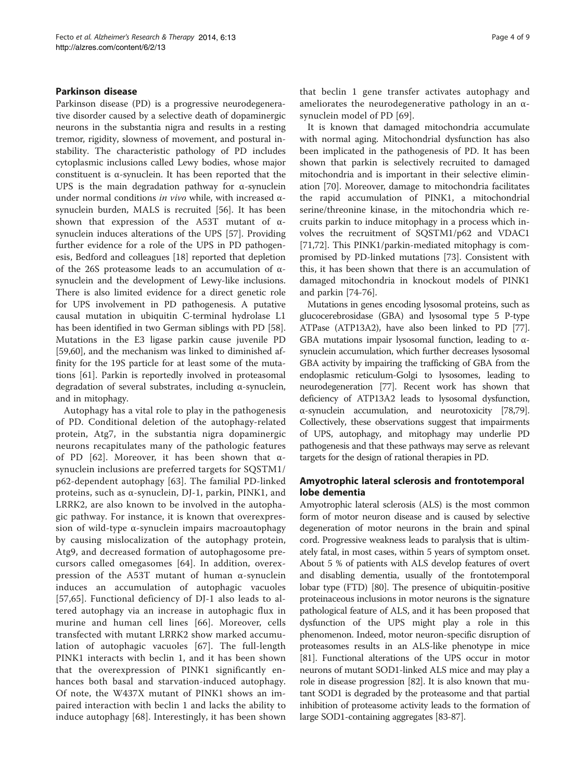#### Parkinson disease

Parkinson disease (PD) is a progressive neurodegenerative disorder caused by a selective death of dopaminergic neurons in the substantia nigra and results in a resting tremor, rigidity, slowness of movement, and postural instability. The characteristic pathology of PD includes cytoplasmic inclusions called Lewy bodies, whose major constituent is α-synuclein. It has been reported that the UPS is the main degradation pathway for  $\alpha$ -synuclein under normal conditions in vivo while, with increased αsynuclein burden, MALS is recruited [\[56](#page-6-0)]. It has been shown that expression of the A53T mutant of αsynuclein induces alterations of the UPS [\[57](#page-6-0)]. Providing further evidence for a role of the UPS in PD pathogenesis, Bedford and colleagues [[18\]](#page-5-0) reported that depletion of the 26S proteasome leads to an accumulation of αsynuclein and the development of Lewy-like inclusions. There is also limited evidence for a direct genetic role for UPS involvement in PD pathogenesis. A putative causal mutation in ubiquitin C-terminal hydrolase L1 has been identified in two German siblings with PD [\[58](#page-7-0)]. Mutations in the E3 ligase parkin cause juvenile PD [[59,60\]](#page-7-0), and the mechanism was linked to diminished affinity for the 19S particle for at least some of the mutations [[61\]](#page-7-0). Parkin is reportedly involved in proteasomal degradation of several substrates, including α-synuclein, and in mitophagy.

Autophagy has a vital role to play in the pathogenesis of PD. Conditional deletion of the autophagy-related protein, Atg7, in the substantia nigra dopaminergic neurons recapitulates many of the pathologic features of PD [[62](#page-7-0)]. Moreover, it has been shown that αsynuclein inclusions are preferred targets for SQSTM1/ p62-dependent autophagy [[63\]](#page-7-0). The familial PD-linked proteins, such as α-synuclein, DJ-1, parkin, PINK1, and LRRK2, are also known to be involved in the autophagic pathway. For instance, it is known that overexpression of wild-type α-synuclein impairs macroautophagy by causing mislocalization of the autophagy protein, Atg9, and decreased formation of autophagosome precursors called omegasomes [[64](#page-7-0)]. In addition, overexpression of the A53T mutant of human α-synuclein induces an accumulation of autophagic vacuoles [[57](#page-6-0)[,65\]](#page-7-0). Functional deficiency of DJ-1 also leads to altered autophagy via an increase in autophagic flux in murine and human cell lines [[66](#page-7-0)]. Moreover, cells transfected with mutant LRRK2 show marked accumulation of autophagic vacuoles [[67](#page-7-0)]. The full-length PINK1 interacts with beclin 1, and it has been shown that the overexpression of PINK1 significantly enhances both basal and starvation-induced autophagy. Of note, the W437X mutant of PINK1 shows an impaired interaction with beclin 1 and lacks the ability to induce autophagy [[68\]](#page-7-0). Interestingly, it has been shown

that beclin 1 gene transfer activates autophagy and ameliorates the neurodegenerative pathology in an  $\alpha$ synuclein model of PD [[69\]](#page-7-0).

It is known that damaged mitochondria accumulate with normal aging. Mitochondrial dysfunction has also been implicated in the pathogenesis of PD. It has been shown that parkin is selectively recruited to damaged mitochondria and is important in their selective elimination [[70\]](#page-7-0). Moreover, damage to mitochondria facilitates the rapid accumulation of PINK1, a mitochondrial serine/threonine kinase, in the mitochondria which recruits parkin to induce mitophagy in a process which involves the recruitment of SQSTM1/p62 and VDAC1 [[71,72\]](#page-7-0). This PINK1/parkin-mediated mitophagy is compromised by PD-linked mutations [\[73\]](#page-7-0). Consistent with this, it has been shown that there is an accumulation of damaged mitochondria in knockout models of PINK1 and parkin [\[74-76](#page-7-0)].

Mutations in genes encoding lysosomal proteins, such as glucocerebrosidase (GBA) and lysosomal type 5 P-type ATPase (ATP13A2), have also been linked to PD [\[77](#page-7-0)]. GBA mutations impair lysosomal function, leading to αsynuclein accumulation, which further decreases lysosomal GBA activity by impairing the trafficking of GBA from the endoplasmic reticulum-Golgi to lysosomes, leading to neurodegeneration [[77](#page-7-0)]. Recent work has shown that deficiency of ATP13A2 leads to lysosomal dysfunction, α-synuclein accumulation, and neurotoxicity [\[78,79](#page-7-0)]. Collectively, these observations suggest that impairments of UPS, autophagy, and mitophagy may underlie PD pathogenesis and that these pathways may serve as relevant targets for the design of rational therapies in PD.

## Amyotrophic lateral sclerosis and frontotemporal lobe dementia

Amyotrophic lateral sclerosis (ALS) is the most common form of motor neuron disease and is caused by selective degeneration of motor neurons in the brain and spinal cord. Progressive weakness leads to paralysis that is ultimately fatal, in most cases, within 5 years of symptom onset. About 5 % of patients with ALS develop features of overt and disabling dementia, usually of the frontotemporal lobar type (FTD) [[80](#page-7-0)]. The presence of ubiquitin-positive proteinaceous inclusions in motor neurons is the signature pathological feature of ALS, and it has been proposed that dysfunction of the UPS might play a role in this phenomenon. Indeed, motor neuron-specific disruption of proteasomes results in an ALS-like phenotype in mice [[81](#page-7-0)]. Functional alterations of the UPS occur in motor neurons of mutant SOD1-linked ALS mice and may play a role in disease progression [\[82](#page-7-0)]. It is also known that mutant SOD1 is degraded by the proteasome and that partial inhibition of proteasome activity leads to the formation of large SOD1-containing aggregates [[83](#page-7-0)-[87](#page-7-0)].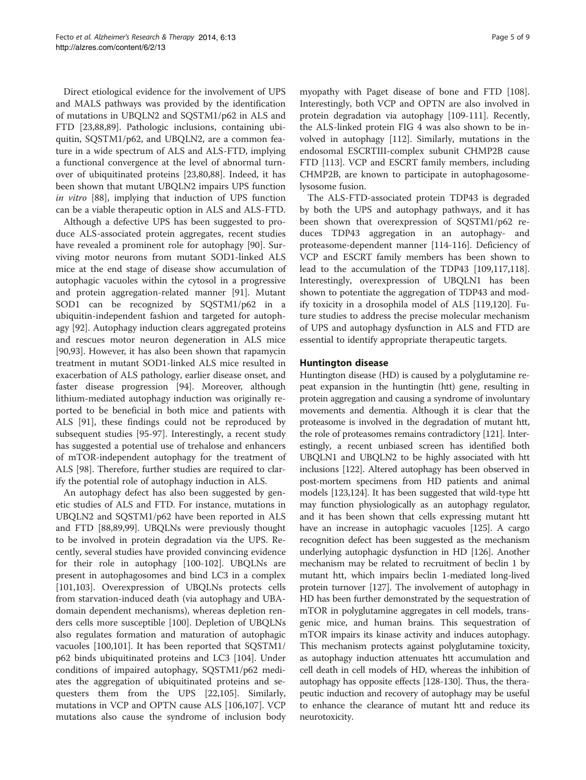Direct etiological evidence for the involvement of UPS and MALS pathways was provided by the identification of mutations in UBQLN2 and SQSTM1/p62 in ALS and FTD [\[23](#page-6-0)[,88,89\]](#page-7-0). Pathologic inclusions, containing ubiquitin, SQSTM1/p62, and UBQLN2, are a common feature in a wide spectrum of ALS and ALS-FTD, implying a functional convergence at the level of abnormal turnover of ubiquitinated proteins [[23,](#page-6-0)[80,88](#page-7-0)]. Indeed, it has been shown that mutant UBQLN2 impairs UPS function in vitro [\[88\]](#page-7-0), implying that induction of UPS function can be a viable therapeutic option in ALS and ALS-FTD.

Although a defective UPS has been suggested to produce ALS-associated protein aggregates, recent studies have revealed a prominent role for autophagy [\[90](#page-7-0)]. Surviving motor neurons from mutant SOD1-linked ALS mice at the end stage of disease show accumulation of autophagic vacuoles within the cytosol in a progressive and protein aggregation-related manner [[91\]](#page-7-0). Mutant SOD1 can be recognized by SQSTM1/p62 in a ubiquitin-independent fashion and targeted for autophagy [\[92](#page-7-0)]. Autophagy induction clears aggregated proteins and rescues motor neuron degeneration in ALS mice [[90,93\]](#page-7-0). However, it has also been shown that rapamycin treatment in mutant SOD1-linked ALS mice resulted in exacerbation of ALS pathology, earlier disease onset, and faster disease progression [\[94\]](#page-7-0). Moreover, although lithium-mediated autophagy induction was originally reported to be beneficial in both mice and patients with ALS [[91\]](#page-7-0), these findings could not be reproduced by subsequent studies [[95-](#page-7-0)[97\]](#page-8-0). Interestingly, a recent study has suggested a potential use of trehalose and enhancers of mTOR-independent autophagy for the treatment of ALS [[98](#page-8-0)]. Therefore, further studies are required to clarify the potential role of autophagy induction in ALS.

An autophagy defect has also been suggested by genetic studies of ALS and FTD. For instance, mutations in UBQLN2 and SQSTM1/p62 have been reported in ALS and FTD [[88,89,](#page-7-0)[99\]](#page-8-0). UBQLNs were previously thought to be involved in protein degradation via the UPS. Recently, several studies have provided convincing evidence for their role in autophagy [\[100-102](#page-8-0)]. UBQLNs are present in autophagosomes and bind LC3 in a complex [[101,103](#page-8-0)]. Overexpression of UBQLNs protects cells from starvation-induced death (via autophagy and UBAdomain dependent mechanisms), whereas depletion renders cells more susceptible [[100](#page-8-0)]. Depletion of UBQLNs also regulates formation and maturation of autophagic vacuoles [\[100,101\]](#page-8-0). It has been reported that SQSTM1/ p62 binds ubiquitinated proteins and LC3 [[104](#page-8-0)]. Under conditions of impaired autophagy, SQSTM1/p62 mediates the aggregation of ubiquitinated proteins and sequesters them from the UPS [\[22](#page-6-0)[,105\]](#page-8-0). Similarly, mutations in VCP and OPTN cause ALS [[106,107](#page-8-0)]. VCP mutations also cause the syndrome of inclusion body

myopathy with Paget disease of bone and FTD [[108](#page-8-0)]. Interestingly, both VCP and OPTN are also involved in protein degradation via autophagy [\[109](#page-8-0)-[111](#page-8-0)]. Recently, the ALS-linked protein FIG 4 was also shown to be involved in autophagy [[112\]](#page-8-0). Similarly, mutations in the endosomal ESCRTIII-complex subunit CHMP2B cause FTD [\[113](#page-8-0)]. VCP and ESCRT family members, including CHMP2B, are known to participate in autophagosomelysosome fusion.

The ALS-FTD-associated protein TDP43 is degraded by both the UPS and autophagy pathways, and it has been shown that overexpression of SQSTM1/p62 reduces TDP43 aggregation in an autophagy- and proteasome-dependent manner [[114](#page-8-0)-[116\]](#page-8-0). Deficiency of VCP and ESCRT family members has been shown to lead to the accumulation of the TDP43 [[109,117](#page-8-0),[118](#page-8-0)]. Interestingly, overexpression of UBQLN1 has been shown to potentiate the aggregation of TDP43 and modify toxicity in a drosophila model of ALS [[119,120\]](#page-8-0). Future studies to address the precise molecular mechanism of UPS and autophagy dysfunction in ALS and FTD are essential to identify appropriate therapeutic targets.

## Huntington disease

Huntington disease (HD) is caused by a polyglutamine repeat expansion in the huntingtin (htt) gene, resulting in protein aggregation and causing a syndrome of involuntary movements and dementia. Although it is clear that the proteasome is involved in the degradation of mutant htt, the role of proteasomes remains contradictory [[121](#page-8-0)]. Interestingly, a recent unbiased screen has identified both UBQLN1 and UBQLN2 to be highly associated with htt inclusions [\[122](#page-8-0)]. Altered autophagy has been observed in post-mortem specimens from HD patients and animal models [[123,124](#page-8-0)]. It has been suggested that wild-type htt may function physiologically as an autophagy regulator, and it has been shown that cells expressing mutant htt have an increase in autophagic vacuoles [\[125](#page-8-0)]. A cargo recognition defect has been suggested as the mechanism underlying autophagic dysfunction in HD [[126](#page-8-0)]. Another mechanism may be related to recruitment of beclin 1 by mutant htt, which impairs beclin 1-mediated long-lived protein turnover [[127](#page-8-0)]. The involvement of autophagy in HD has been further demonstrated by the sequestration of mTOR in polyglutamine aggregates in cell models, transgenic mice, and human brains. This sequestration of mTOR impairs its kinase activity and induces autophagy. This mechanism protects against polyglutamine toxicity, as autophagy induction attenuates htt accumulation and cell death in cell models of HD, whereas the inhibition of autophagy has opposite effects [\[128-130](#page-8-0)]. Thus, the therapeutic induction and recovery of autophagy may be useful to enhance the clearance of mutant htt and reduce its neurotoxicity.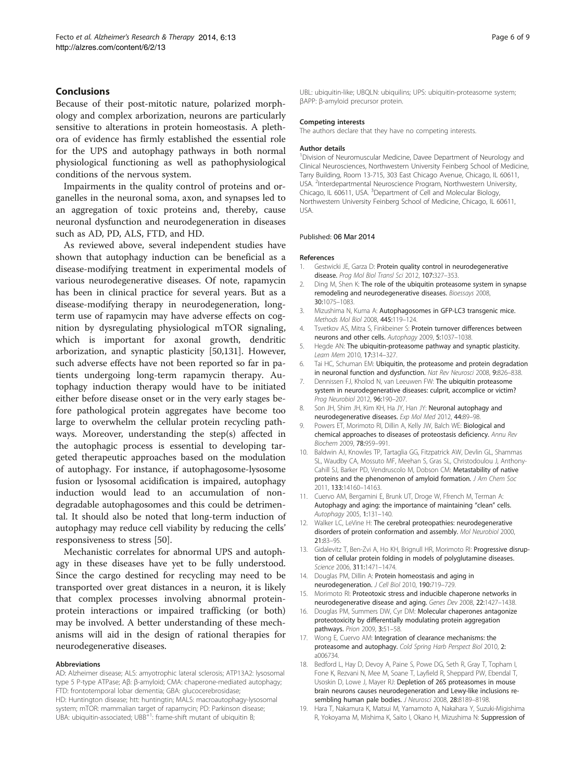#### <span id="page-5-0"></span>Conclusions

Because of their post-mitotic nature, polarized morphology and complex arborization, neurons are particularly sensitive to alterations in protein homeostasis. A plethora of evidence has firmly established the essential role for the UPS and autophagy pathways in both normal physiological functioning as well as pathophysiological conditions of the nervous system.

Impairments in the quality control of proteins and organelles in the neuronal soma, axon, and synapses led to an aggregation of toxic proteins and, thereby, cause neuronal dysfunction and neurodegeneration in diseases such as AD, PD, ALS, FTD, and HD.

As reviewed above, several independent studies have shown that autophagy induction can be beneficial as a disease-modifying treatment in experimental models of various neurodegenerative diseases. Of note, rapamycin has been in clinical practice for several years. But as a disease-modifying therapy in neurodegeneration, longterm use of rapamycin may have adverse effects on cognition by dysregulating physiological mTOR signaling, which is important for axonal growth, dendritic arborization, and synaptic plasticity [[50](#page-6-0),[131](#page-8-0)]. However, such adverse effects have not been reported so far in patients undergoing long-term rapamycin therapy. Autophagy induction therapy would have to be initiated either before disease onset or in the very early stages before pathological protein aggregates have become too large to overwhelm the cellular protein recycling pathways. Moreover, understanding the step(s) affected in the autophagic process is essential to developing targeted therapeutic approaches based on the modulation of autophagy. For instance, if autophagosome-lysosome fusion or lysosomal acidification is impaired, autophagy induction would lead to an accumulation of nondegradable autophagosomes and this could be detrimental. It should also be noted that long-term induction of autophagy may reduce cell viability by reducing the cells' responsiveness to stress [[50\]](#page-6-0).

Mechanistic correlates for abnormal UPS and autophagy in these diseases have yet to be fully understood. Since the cargo destined for recycling may need to be transported over great distances in a neuron, it is likely that complex processes involving abnormal proteinprotein interactions or impaired trafficking (or both) may be involved. A better understanding of these mechanisms will aid in the design of rational therapies for neurodegenerative diseases.

#### Abbreviations

AD: Alzheimer disease; ALS: amyotrophic lateral sclerosis; ATP13A2: lysosomal type 5 P-type ATPase; Aβ: β-amyloid; CMA: chaperone-mediated autophagy; FTD: frontotemporal lobar dementia; GBA: glucocerebrosidase; HD: Huntington disease; htt: huntingtin; MALS: macroautophagy-lysosomal system; mTOR: mammalian target of rapamycin; PD: Parkinson disease; UBA: ubiquitin-associated; UBB<sup>+1</sup>: frame-shift mutant of ubiquitin B;

UBL: ubiquitin-like; UBQLN: ubiquilins; UPS: ubiquitin-proteasome system; βAPP: β-amyloid precursor protein.

#### Competing interests

The authors declare that they have no competing interests.

#### Author details

<sup>1</sup> Division of Neuromuscular Medicine, Davee Department of Neurology and Clinical Neurosciences, Northwestern University Feinberg School of Medicine, Tarry Building, Room 13-715, 303 East Chicago Avenue, Chicago, IL 60611, USA. <sup>2</sup>Interdepartmental Neuroscience Program, Northwestern University Chicago, IL 60611, USA. <sup>3</sup>Department of Cell and Molecular Biology, Northwestern University Feinberg School of Medicine, Chicago, IL 60611, USA.

#### Published: 06 Mar 2014

#### References

- 1. Gestwicki JE, Garza D: Protein quality control in neurodegenerative disease. Prog Mol Biol Transl Sci 2012, 107:327–353.
- 2. Ding M, Shen K: The role of the ubiquitin proteasome system in synapse remodeling and neurodegenerative diseases. Bioessays 2008, 30:1075–1083.
- 3. Mizushima N, Kuma A: Autophagosomes in GFP-LC3 transgenic mice. Methods Mol Biol 2008, 445:119–124.
- 4. Tsvetkov AS, Mitra S, Finkbeiner S: Protein turnover differences between neurons and other cells. Autophagy 2009, 5:1037–1038.
- 5. Hegde AN: The ubiquitin-proteasome pathway and synaptic plasticity. Learn Mem 2010, 17:314–327.
- 6. Tai HC, Schuman EM: Ubiquitin, the proteasome and protein degradation in neuronal function and dysfunction. Nat Rev Neurosci 2008, 9:826–838.
- 7. Dennissen FJ, Kholod N, van Leeuwen FW: The ubiquitin proteasome system in neurodegenerative diseases: culprit, accomplice or victim? Prog Neurobiol 2012, 96:190–207.
- Son JH, Shim JH, Kim KH, Ha JY, Han JY: Neuronal autophagy and neurodegenerative diseases. Exp Mol Med 2012, 44:89–98.
- 9. Powers ET, Morimoto RI, Dillin A, Kelly JW, Balch WE: Biological and chemical approaches to diseases of proteostasis deficiency. Annu Rev Biochem 2009, 78:959–991.
- 10. Baldwin AJ, Knowles TP, Tartaglia GG, Fitzpatrick AW, Devlin GL, Shammas SL, Waudby CA, Mossuto MF, Meehan S, Gras SL, Christodoulou J, Anthony-Cahill SJ, Barker PD, Vendruscolo M, Dobson CM: Metastability of native proteins and the phenomenon of amyloid formation. J Am Chem Soc 2011, 133:14160–14163.
- 11. Cuervo AM, Bergamini E, Brunk UT, Droge W, Ffrench M, Terman A: Autophagy and aging: the importance of maintaining "clean" cells. Autophagy 2005, 1:131–140.
- 12. Walker LC, LeVine H: The cerebral proteopathies: neurodegenerative disorders of protein conformation and assembly. Mol Neurobiol 2000, 21:83–95.
- 13. Gidalevitz T, Ben-Zvi A, Ho KH, Brignull HR, Morimoto RI: Progressive disruption of cellular protein folding in models of polyglutamine diseases. Science 2006, 311:1471–1474.
- 14. Douglas PM, Dillin A: Protein homeostasis and aging in neurodegeneration. J Cell Biol 2010, 190:719–729.
- 15. Morimoto RI: Proteotoxic stress and inducible chaperone networks in neurodegenerative disease and aging. Genes Dev 2008, 22:1427–1438.
- 16. Douglas PM, Summers DW, Cyr DM: Molecular chaperones antagonize proteotoxicity by differentially modulating protein aggregation pathways. Prion 2009, 3:51–58.
- 17. Wong E, Cuervo AM: Integration of clearance mechanisms: the proteasome and autophagy. Cold Spring Harb Perspect Biol 2010, 2: a006734.
- 18. Bedford L, Hay D, Devoy A, Paine S, Powe DG, Seth R, Gray T, Topham I, Fone K, Rezvani N, Mee M, Soane T, Layfield R, Sheppard PW, Ebendal T, Usoskin D, Lowe J, Mayer RJ: Depletion of 26S proteasomes in mouse brain neurons causes neurodegeneration and Lewy-like inclusions resembling human pale bodies. J Neurosci 2008, 28:8189-8198.
- 19. Hara T, Nakamura K, Matsui M, Yamamoto A, Nakahara Y, Suzuki-Migishima R, Yokoyama M, Mishima K, Saito I, Okano H, Mizushima N: Suppression of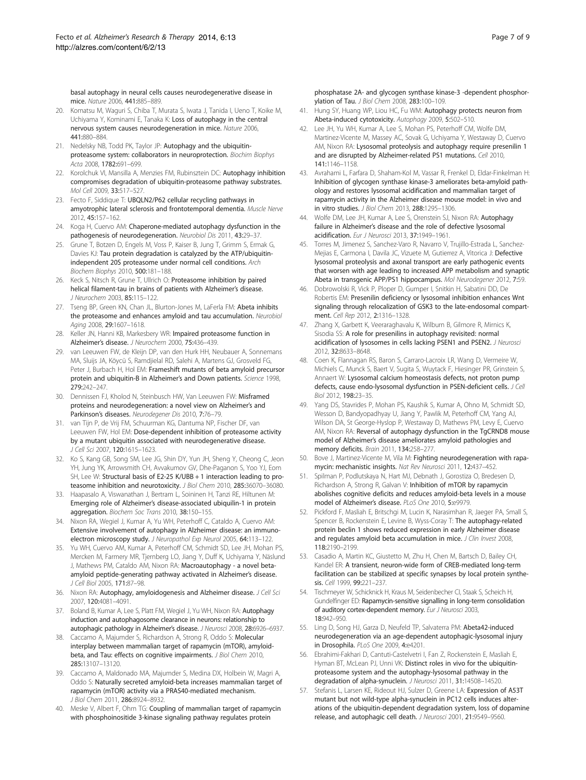<span id="page-6-0"></span>basal autophagy in neural cells causes neurodegenerative disease in mice. Nature 2006, 441:885–889.

- 20. Komatsu M, Waguri S, Chiba T, Murata S, Iwata J, Tanida I, Ueno T, Koike M, Uchiyama Y, Kominami E, Tanaka K: Loss of autophagy in the central nervous system causes neurodegeneration in mice. Nature 2006, 441:880–884.
- 21. Nedelsky NB, Todd PK, Taylor JP: Autophagy and the ubiquitinproteasome system: collaborators in neuroprotection. Biochim Biophys Acta 2008, 1782:691–699.
- 22. Korolchuk VI, Mansilla A, Menzies FM, Rubinsztein DC: Autophagy inhibition compromises degradation of ubiquitin-proteasome pathway substrates. Mol Cell 2009, 33:517–527.
- 23. Fecto F, Siddique T: UBQLN2/P62 cellular recycling pathways in amyotrophic lateral sclerosis and frontotemporal dementia. Muscle Nerve 2012, 45:157–162.
- 24. Koga H, Cuervo AM: Chaperone-mediated autophagy dysfunction in the pathogenesis of neurodegeneration. Neurobiol Dis 2011, 43:29–37.
- 25. Grune T, Botzen D, Engels M, Voss P, Kaiser B, Jung T, Grimm S, Ermak G, Davies KJ: Tau protein degradation is catalyzed by the ATP/ubiquitinindependent 20S proteasome under normal cell conditions. Arch Biochem Biophys 2010, 500:181–188.
- 26. Keck S, Nitsch R, Grune T, Ullrich O: Proteasome inhibition by paired helical filament-tau in brains of patients with Alzheimer's disease. J Neurochem 2003, 85:115–122.
- 27. Tseng BP, Green KN, Chan JL, Blurton-Jones M, LaFerla FM: Abeta inhibits the proteasome and enhances amyloid and tau accumulation. Neurobiol Aging 2008, 29:1607–1618.
- 28. Keller JN, Hanni KB, Markesbery WR: Impaired proteasome function in Alzheimer's disease. J Neurochem 2000, 75:436–439.
- 29. van Leeuwen FW, de Kleijn DP, van den Hurk HH, Neubauer A, Sonnemans MA, Sluijs JA, Köycü S, Ramdjielal RD, Salehi A, Martens GJ, Grosveld FG, Peter J, Burbach H, Hol EM: Frameshift mutants of beta amyloid precursor protein and ubiquitin-B in Alzheimer's and Down patients. Science 1998, 279:242–247.
- 30. Dennissen FJ, Kholod N, Steinbusch HW, Van Leeuwen FW: Misframed proteins and neurodegeneration: a novel view on Alzheimer's and Parkinson's diseases. Neurodegener Dis 2010, 7:76–79.
- 31. van Tijn P, de Vrij FM, Schuurman KG, Dantuma NP, Fischer DF, van Leeuwen FW, Hol EM: Dose-dependent inhibition of proteasome activity by a mutant ubiquitin associated with neurodegenerative disease. J Cell Sci 2007, 120:1615–1623.
- 32. Ko S, Kang GB, Song SM, Lee JG, Shin DY, Yun JH, Sheng Y, Cheong C, Jeon YH, Jung YK, Arrowsmith CH, Avvakumov GV, Dhe-Paganon S, Yoo YJ, Eom SH, Lee W: Structural basis of E2-25 K/UBB + 1 interaction leading to proteasome inhibition and neurotoxicity. J Biol Chem 2010, 285:36070–36080.
- 33. Haapasalo A, Viswanathan J, Bertram L, Soininen H, Tanzi RE, Hiltunen M: Emerging role of Alzheimer's disease-associated ubiquilin-1 in protein aggregation. Biochem Soc Trans 2010, 38:150–155.
- 34. Nixon RA, Wegiel J, Kumar A, Yu WH, Peterhoff C, Cataldo A, Cuervo AM: Extensive involvement of autophagy in Alzheimer disease: an immunoelectron microscopy study. J Neuropathol Exp Neurol 2005, 64:113-122.
- 35. Yu WH, Cuervo AM, Kumar A, Peterhoff CM, Schmidt SD, Lee JH, Mohan PS, Mercken M, Farmery MR, Tjernberg LO, Jiang Y, Duff K, Uchiyama Y, Näslund J, Mathews PM, Cataldo AM, Nixon RA: Macroautophagy - a novel betaamyloid peptide-generating pathway activated in Alzheimer's disease. J Cell Biol 2005, 171:87–98.
- 36. Nixon RA: Autophagy, amyloidogenesis and Alzheimer disease. J Cell Sci 2007, 120:4081–4091.
- 37. Boland B, Kumar A, Lee S, Platt FM, Wegiel J, Yu WH, Nixon RA: Autophagy induction and autophagosome clearance in neurons: relationship to autophagic pathology in Alzheimer's disease. J Neurosci 2008, 28:6926-6937.
- 38. Caccamo A, Majumder S, Richardson A, Strong R, Oddo S: Molecular interplay between mammalian target of rapamycin (mTOR), amyloidbeta, and Tau: effects on cognitive impairments. J Biol Chem 2010, 285:13107–13120.
- 39. Caccamo A, Maldonado MA, Majumder S, Medina DX, Holbein W, Magri A, Oddo S: Naturally secreted amyloid-beta increases mammalian target of rapamycin (mTOR) activity via a PRAS40-mediated mechanism. J Biol Chem 2011, 286:8924–8932.
- 40. Meske V, Albert F, Ohm TG: Coupling of mammalian target of rapamycin with phosphoinositide 3-kinase signaling pathway regulates protein

phosphatase 2A- and glycogen synthase kinase-3 -dependent phosphorylation of Tau. J Biol Chem 2008, 283:100–109.

- 41. Hung SY, Huang WP, Liou HC, Fu WM: Autophagy protects neuron from Abeta-induced cytotoxicity. Autophagy 2009, 5:502–510.
- 42. Lee JH, Yu WH, Kumar A, Lee S, Mohan PS, Peterhoff CM, Wolfe DM, Martinez-Vicente M, Massey AC, Sovak G, Uchiyama Y, Westaway D, Cuervo AM, Nixon RA: Lysosomal proteolysis and autophagy require presenilin 1 and are disrupted by Alzheimer-related PS1 mutations. Cell 2010, 141:1146–1158.
- 43. Avrahami L, Farfara D, Shaham-Kol M, Vassar R, Frenkel D, Eldar-Finkelman H: Inhibition of glycogen synthase kinase-3 ameliorates beta-amyloid pathology and restores lysosomal acidification and mammalian target of rapamycin activity in the Alzheimer disease mouse model: in vivo and in vitro studies. J Biol Chem 2013, 288:1295–1306.
- 44. Wolfe DM, Lee JH, Kumar A, Lee S, Orenstein SJ, Nixon RA: Autophagy failure in Alzheimer's disease and the role of defective lysosomal acidification. Eur J Neurosci 2013, 37:1949–1961.
- 45. Torres M, Jimenez S, Sanchez-Varo R, Navarro V, Trujillo-Estrada L, Sanchez-Mejias E, Carmona I, Davila JC, Vizuete M, Gutierrez A, Vitorica J: Defective lysosomal proteolysis and axonal transport are early pathogenic events that worsen with age leading to increased APP metabolism and synaptic Abeta in transgenic APP/PS1 hippocampus. Mol Neurodegener 2012, 7:59.
- 46. Dobrowolski R, Vick P, Ploper D, Gumper I, Snitkin H, Sabatini DD, De Robertis EM: Presenilin deficiency or lysosomal inhibition enhances Wnt signaling through relocalization of GSK3 to the late-endosomal compartment. Cell Rep 2012, 2:1316–1328.
- 47. Zhang X, Garbett K, Veeraraghavalu K, Wilburn B, Gilmore R, Mirnics K, Sisodia SS: A role for presenilins in autophagy revisited: normal acidification of lysosomes in cells lacking PSEN1 and PSEN2. J Neurosci 2012, 32:8633–8648.
- 48. Coen K, Flannagan RS, Baron S, Carraro-Lacroix LR, Wang D, Vermeire W, Michiels C, Munck S, Baert V, Sugita S, Wuytack F, Hiesinger PR, Grinstein S, Annaert W: Lysosomal calcium homeostasis defects, not proton pump defects, cause endo-lysosomal dysfunction in PSEN-deficient cells. J Cell Biol 2012, 198:23–35.
- 49. Yang DS, Stavrides P, Mohan PS, Kaushik S, Kumar A, Ohno M, Schmidt SD, Wesson D, Bandyopadhyay U, Jiang Y, Pawlik M, Peterhoff CM, Yang AJ, Wilson DA, St George-Hyslop P, Westaway D, Mathews PM, Levy E, Cuervo AM, Nixon RA: Reversal of autophagy dysfunction in the TgCRND8 mouse model of Alzheimer's disease ameliorates amyloid pathologies and memory deficits. Brain 2011, 134:258–277.
- 50. Bove J, Martinez-Vicente M, Vila M: Fighting neurodegeneration with rapamycin: mechanistic insights. Nat Rev Neurosci 2011, 12:437–452.
- 51. Spilman P, Podlutskaya N, Hart MJ, Debnath J, Gorostiza O, Bredesen D, Richardson A, Strong R, Galvan V: Inhibition of mTOR by rapamycin abolishes cognitive deficits and reduces amyloid-beta levels in a mouse model of Alzheimer's disease. PLoS One 2010, 5:e9979.
- 52. Pickford F, Masliah E, Britschgi M, Lucin K, Narasimhan R, Jaeger PA, Small S, Spencer B, Rockenstein E, Levine B, Wyss-Coray T: The autophagy-related protein beclin 1 shows reduced expression in early Alzheimer disease and regulates amyloid beta accumulation in mice. J Clin Invest 2008, 118:2190–2199.
- 53. Casadio A, Martin KC, Giustetto M, Zhu H, Chen M, Bartsch D, Bailey CH, Kandel ER: A transient, neuron-wide form of CREB-mediated long-term facilitation can be stabilized at specific synapses by local protein synthesis. Cell 1999. 99:221-237.
- Tischmeyer W, Schicknick H, Kraus M, Seidenbecher CI, Staak S, Scheich H, Gundelfinger ED: Rapamycin-sensitive signalling in long-term consolidation of auditory cortex-dependent memory. Eur J Neurosci 2003, 18:942–950.
- 55. Ling D, Song HJ, Garza D, Neufeld TP, Salvaterra PM: Abeta42-induced neurodegeneration via an age-dependent autophagic-lysosomal injury in Drosophila. PLoS One 2009, 4:e4201.
- 56. Ebrahimi-Fakhari D, Cantuti-Castelvetri I, Fan Z, Rockenstein E, Masliah E, Hyman BT, McLean PJ, Unni VK: Distinct roles in vivo for the ubiquitinproteasome system and the autophagy-lysosomal pathway in the degradation of alpha-synuclein. J Neurosci 2011, 31:14508-14520.
- 57. Stefanis L, Larsen KE, Rideout HJ, Sulzer D, Greene LA: Expression of A53T mutant but not wild-type alpha-synuclein in PC12 cells induces alterations of the ubiquitin-dependent degradation system, loss of dopamine release, and autophagic cell death. J Neurosci 2001, 21:9549–9560.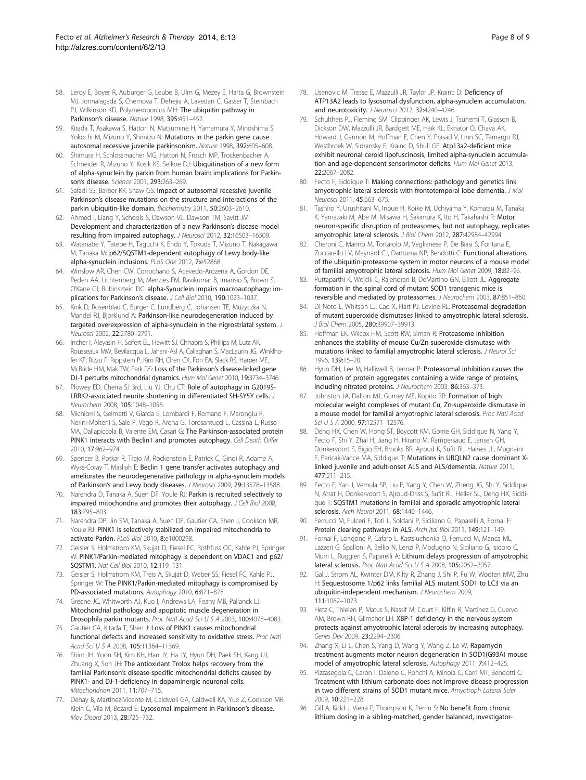- <span id="page-7-0"></span>58. Leroy E, Boyer R, Auburger G, Leube B, Ulm G, Mezey E, Harta G, Brownstein MJ, Jonnalagada S, Chernova T, Dehejia A, Lavedan C, Gasser T, Steinbach PJ, Wilkinson KD, Polymeropoulos MH: The ubiquitin pathway in Parkinson's disease. Nature 1998, 395:451–452.
- 59. Kitada T, Asakawa S, Hattori N, Matsumine H, Yamamura Y, Minoshima S, Yokochi M, Mizuno Y, Shimizu N: Mutations in the parkin gene cause autosomal recessive juvenile parkinsonism. Nature 1998, 392:605–608.
- 60. Shimura H, Schlossmacher MG, Hattori N, Frosch MP, Trockenbacher A, Schneider R, Mizuno Y, Kosik KS, Selkoe DJ: Ubiquitination of a new form of alpha-synuclein by parkin from human brain: implications for Parkinson's disease. Science 2001, 293:263–269.
- 61. Safadi SS, Barber KR, Shaw GS: Impact of autosomal recessive juvenile Parkinson's disease mutations on the structure and interactions of the parkin ubiquitin-like domain. Biochemistry 2011, 50:2603–2610.
- 62. Ahmed I, Liang Y, Schools S, Dawson VL, Dawson TM, Savitt JM: Development and characterization of a new Parkinson's disease model resulting from impaired autophagy. J Neurosci 2012, 32:16503–16509.
- 63. Watanabe Y, Tatebe H, Taguchi K, Endo Y, Tokuda T, Mizuno T, Nakagawa M, Tanaka M: p62/SQSTM1-dependent autophagy of Lewy body-like alpha-synuclein inclusions. PLoS One 2012, 7:e52868.
- 64. Winslow AR, Chen CW, Corrochano S, Acevedo-Arozena A, Gordon DE, Peden AA, Lichtenberg M, Menzies FM, Ravikumar B, Imarisio S, Brown S, O'Kane CJ, Rubinsztein DC: alpha-Synuclein impairs macroautophagy: implications for Parkinson's disease. J Cell Biol 2010, 190:1023-1037.
- Kirik D, Rosenblad C, Burger C, Lundberg C, Johansen TE, Muzyczka N, Mandel RJ, Bjorklund A: Parkinson-like neurodegeneration induced by targeted overexpression of alpha-synuclein in the nigrostriatal system. J Neurosci 2002, 22:2780–2791.
- 66. Irrcher I, Aleyasin H, Seifert EL, Hewitt SJ, Chhabra S, Phillips M, Lutz AK, Rousseaux MW, Bevilacqua L, Jahani-Asl A, Callaghan S, MacLaurin JG, Winklhofer KF, Rizzu P, Rippstein P, Kim RH, Chen CX, Fon EA, Slack RS, Harper ME, McBride HM, Mak TW, Park DS: Loss of the Parkinson's disease-linked gene DJ-1 perturbs mitochondrial dynamics. Hum Mol Genet 2010, 19:3734–3746.
- 67. Plowey ED, Cherra SJ 3rd, Liu YJ, Chu CT: Role of autophagy in G2019S-LRRK2-associated neurite shortening in differentiated SH-SY5Y cells. J Neurochem 2008, 105:1048–1056.
- 68. Michiorri S, Gelmetti V, Giarda E, Lombardi F, Romano F, Marongiu R, Nerini-Molteni S, Sale P, Vago R, Arena G, Torosantucci L, Cassina L, Russo MA, Dallapiccola B, Valente EM, Casari G: The Parkinson-associated protein PINK1 interacts with Beclin1 and promotes autophagy. Cell Death Differ 2010, 17:962–974.
- 69. Spencer B, Potkar R, Trejo M, Rockenstein E, Patrick C, Gindi R, Adame A, Wyss-Coray T, Masliah E: Beclin 1 gene transfer activates autophagy and ameliorates the neurodegenerative pathology in alpha-synuclein models of Parkinson's and Lewy body diseases. J Neurosci 2009, 29:13578–13588.
- 70. Narendra D, Tanaka A, Suen DF, Youle RJ: Parkin is recruited selectively to impaired mitochondria and promotes their autophagy. J Cell Biol 2008, 183:795–803.
- 71. Narendra DP, Jin SM, Tanaka A, Suen DF, Gautier CA, Shen J, Cookson MR, Youle RJ: PINK1 is selectively stabilized on impaired mitochondria to activate Parkin. PLoS Biol 2010, 8:e1000298.
- 72. Geisler S, Holmstrom KM, Skujat D, Fiesel FC, Rothfuss OC, Kahle PJ, Springer W: PINK1/Parkin-mediated mitophagy is dependent on VDAC1 and p62/ SQSTM1. Nat Cell Biol 2010, 12:119–131.
- 73. Geisler S, Holmstrom KM, Treis A, Skujat D, Weber SS, Fiesel FC, Kahle PJ, Springer W: The PINK1/Parkin-mediated mitophagy is compromised by PD-associated mutations. Autophagy 2010, 6:871–878.
- 74. Greene JC, Whitworth AJ, Kuo I, Andrews LA, Feany MB, Pallanck LJ: Mitochondrial pathology and apoptotic muscle degeneration in Drosophila parkin mutants. Proc Natl Acad Sci U S A 2003, 100:4078–4083.
- 75. Gautier CA, Kitada T, Shen J: Loss of PINK1 causes mitochondrial functional defects and increased sensitivity to oxidative stress. Proc Natl Acad Sci U S A 2008, 105:11364–11369.
- 76. Shim JH, Yoon SH, Kim KH, Han JY, Ha JY, Hyun DH, Paek SH, Kang UJ, Zhuang X, Son JH: The antioxidant Trolox helps recovery from the familial Parkinson's disease-specific mitochondrial deficits caused by PINK1- and DJ-1-deficiency in dopaminergic neuronal cells. Mitochondrion 2011, 11:707–715.
- 77. Dehay B, Martinez-Vicente M, Caldwell GA, Caldwell KA, Yue Z, Cookson MR, Klein C, Vila M, Bezard E: Lysosomal impairment in Parkinson's disease. Mov Disord 2013, 28:725–732.
- 78. Usenovic M, Tresse E, Mazzulli JR, Taylor JP, Krainc D: Deficiency of ATP13A2 leads to lysosomal dysfunction, alpha-synuclein accumulation, and neurotoxicity. J Neurosci 2012, 32:4240-4246.
- 79. Schultheis PJ, Fleming SM, Clippinger AK, Lewis J, Tsunemi T, Giasson B, Dickson DW, Mazzulli JR, Bardgett ME, Haik KL, Ekhator O, Chava AK, Howard J, Gannon M, Hoffman E, Chen Y, Prasad V, Linn SC, Tamargo RJ, Westbroek W, Sidransky E, Krainc D, Shull GE: Atp13a2-deficient mice exhibit neuronal ceroid lipofuscinosis, limited alpha-synuclein accumulation and age-dependent sensorimotor deficits. Hum Mol Genet 2013, 22:2067–2082.
- 80. Fecto F, Siddique T: Making connections: pathology and genetics link amyotrophic lateral sclerosis with frontotemporal lobe dementia. J Mol Neurosci 2011, 45:663–675.
- 81. Tashiro Y, Urushitani M, Inoue H, Koike M, Uchiyama Y, Komatsu M, Tanaka K, Yamazaki M, Abe M, Misawa H, Sakimura K, Ito H, Takahashi R: Motor neuron-specific disruption of proteasomes, but not autophagy, replicates amyotrophic lateral sclerosis. J Biol Chem 2012, 287:42984–42994.
- Cheroni C, Marino M, Tortarolo M, Veglianese P, De Biasi S, Fontana E, Zuccarello LV, Maynard CJ, Dantuma NP, Bendotti C: Functional alterations of the ubiquitin-proteasome system in motor neurons of a mouse model of familial amyotrophic lateral sclerosis. Hum Mol Genet 2009, 18:82–96.
- 83. Puttaparthi K, Wojcik C, Rajendran B, DeMartino GN, Elliott JL: Aggregate formation in the spinal cord of mutant SOD1 transgenic mice is reversible and mediated by proteasomes. J Neurochem 2003, 87:851–860.
- 84. Di Noto L, Whitson LJ, Cao X, Hart PJ, Levine RL: Proteasomal degradation of mutant superoxide dismutases linked to amyotrophic lateral sclerosis. J Biol Chem 2005, 280:39907–39913.
- 85. Hoffman EK, Wilcox HM, Scott RW, Siman R: Proteasome inhibition enhances the stability of mouse Cu/Zn superoxide dismutase with mutations linked to familial amyotrophic lateral sclerosis. J Neurol Sci 1996, 139:15–20.
- 86. Hyun DH, Lee M, Halliwell B, Jenner P: Proteasomal inhibition causes the formation of protein aggregates containing a wide range of proteins, including nitrated proteins. J Neurochem 2003, 86:363–373.
- 87. Johnston JA, Dalton MJ, Gurney ME, Kopito RR: Formation of high molecular weight complexes of mutant Cu, Zn-superoxide dismutase in a mouse model for familial amyotrophic lateral sclerosis. Proc Natl Acad Sci U S A 2000, 97:12571–12576.
- Deng HX, Chen W, Hong ST, Boycott KM, Gorrie GH, Siddique N, Yang Y, Fecto F, Shi Y, Zhai H, Jiang H, Hirano M, Rampersaud E, Jansen GH, Donkervoort S, Bigio EH, Brooks BR, Ajroud K, Sufit RL, Haines JL, Mugnaini E, Pericak-Vance MA, Siddique T: Mutations in UBQLN2 cause dominant Xlinked juvenile and adult-onset ALS and ALS/dementia. Nature 2011, 477:211–215.
- 89. Fecto F, Yan J, Vemula SP, Liu E, Yang Y, Chen W, Zheng JG, Shi Y, Siddique N, Arrat H, Donkervoort S, Ajroud-Driss S, Sufit RL, Heller SL, Deng HX, Siddique T: SQSTM1 mutations in familial and sporadic amyotrophic lateral sclerosis. Arch Neurol 2011, 68:1440–1446.
- 90. Ferrucci M, Fulceri F, Toti L, Soldani P, Siciliano G, Paparelli A, Fornai F: Protein clearing pathways in ALS. Arch Ital Biol 2011, 149:121-149.
- 91. Fornai F, Longone P, Cafaro L, Kastsiuchenka O, Ferrucci M, Manca ML, Lazzeri G, Spalloni A, Bellio N, Lenzi P, Modugno N, Siciliano G, Isidoro C, Murri L, Ruggieri S, Paparelli A: Lithium delays progression of amyotrophic lateral sclerosis. Proc Natl Acad Sci U S A 2008, 105:2052–2057.
- 92. Gal J, Strom AL, Kwinter DM, Kilty R, Zhang J, Shi P, Fu W, Wooten MW, Zhu H: Sequestosome 1/p62 links familial ALS mutant SOD1 to LC3 via an ubiquitin-independent mechanism. J Neurochem 2009, 111:1062–1073.
- 93. Hetz C, Thielen P, Matus S, Nassif M, Court F, Kiffin R, Martinez G, Cuervo AM, Brown RH, Glimcher LH: XBP-1 deficiency in the nervous system protects against amyotrophic lateral sclerosis by increasing autophagy. Genes Dev 2009, 23:2294–2306.
- 94. Zhang X, Li L, Chen S, Yang D, Wang Y, Wang Z, Le W: Rapamycin treatment augments motor neuron degeneration in SOD1(G93A) mouse model of amyotrophic lateral sclerosis. Autophagy 2011, 7:412–425.
- 95. Pizzasegola C, Caron I, Daleno C, Ronchi A, Minoia C, Carri MT, Bendotti C: Treatment with lithium carbonate does not improve disease progression in two different strains of SOD1 mutant mice. Amyotroph Lateral Scler 2009, 10:221–228.
- 96. Gill A, Kidd J, Vieira F, Thompson K, Perrin S: No benefit from chronic lithium dosing in a sibling-matched, gender balanced, investigator-